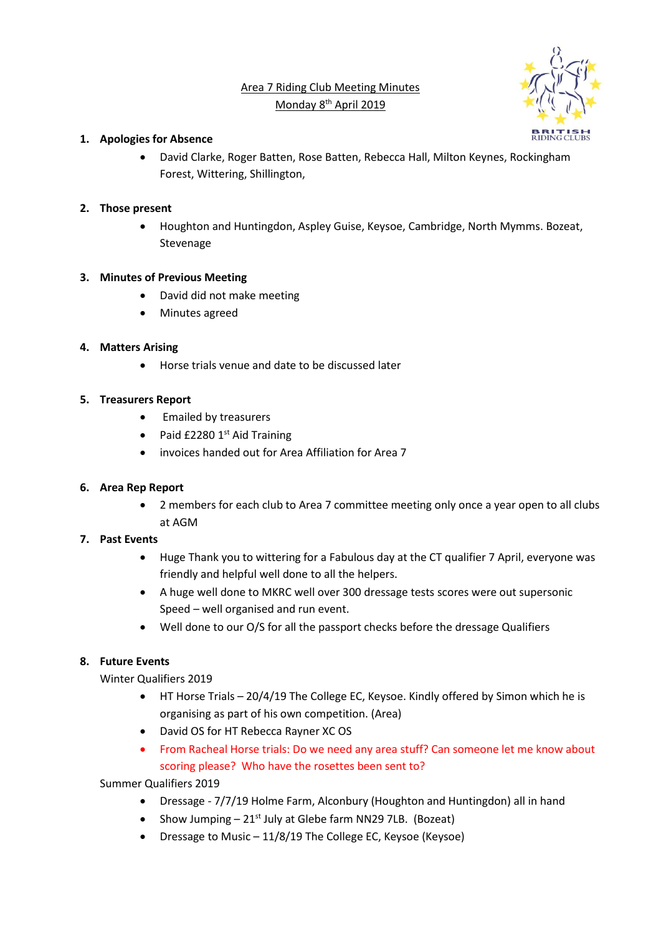# Area 7 Riding Club Meeting Minutes Monday 8<sup>th</sup> April 2019



#### **1. Apologies for Absence**

• David Clarke, Roger Batten, Rose Batten, Rebecca Hall, Milton Keynes, Rockingham Forest, Wittering, Shillington,

### **2. Those present**

• Houghton and Huntingdon, Aspley Guise, Keysoe, Cambridge, North Mymms. Bozeat, Stevenage

#### **3. Minutes of Previous Meeting**

- David did not make meeting
- Minutes agreed

### **4. Matters Arising**

• Horse trials venue and date to be discussed later

#### **5. Treasurers Report**

- Emailed by treasurers
- Paid  $£22801<sup>st</sup>$  Aid Training
- invoices handed out for Area Affiliation for Area 7

#### **6. Area Rep Report**

• 2 members for each club to Area 7 committee meeting only once a year open to all clubs at AGM

#### **7. Past Events**

- Huge Thank you to wittering for a Fabulous day at the CT qualifier 7 April, everyone was friendly and helpful well done to all the helpers.
- A huge well done to MKRC well over 300 dressage tests scores were out supersonic Speed – well organised and run event.
- Well done to our O/S for all the passport checks before the dressage Qualifiers

## **8. Future Events**

Winter Qualifiers 2019

- HT Horse Trials 20/4/19 The College EC, Keysoe. Kindly offered by Simon which he is organising as part of his own competition. (Area)
- David OS for HT Rebecca Rayner XC OS
- From Racheal Horse trials: Do we need any area stuff? Can someone let me know about scoring please? Who have the rosettes been sent to?

Summer Qualifiers 2019

- Dressage 7/7/19 Holme Farm, Alconbury (Houghton and Huntingdon) all in hand
- Show Jumping  $-21^{st}$  July at Glebe farm NN29 7LB. (Bozeat)
- Dressage to Music 11/8/19 The College EC, Keysoe (Keysoe)